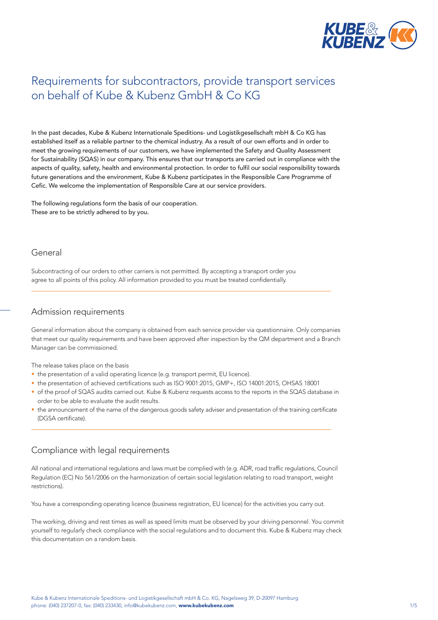

# Requirements for subcontractors, provide transport services on behalf of Kube & Kubenz GmbH & Co KG

In the past decades, Kube & Kubenz Internationale Speditions- und Logistikgesellschaft mbH & Co KG has established itself as a reliable partner to the chemical industry. As a result of our own efforts and in order to meet the growing requirements of our customers, we have implemented the Safety and Quality Assessment for Sustainability (SQAS) in our company. This ensures that our transports are carried out in compliance with the aspects of quality, safety, health and environmental protection. In order to fulfil our social responsibility towards future generations and the environment, Kube & Kubenz participates in the Responsible Care Programme of Cefic. We welcome the implementation of Responsible Care at our service providers.

The following regulations form the basis of our cooperation. These are to be strictly adhered to by you.

#### General

Subcontracting of our orders to other carriers is not permitted. By accepting a transport order you agree to all points of this policy. All information provided to you must be treated confidentially.

#### Admission requirements

General information about the company is obtained from each service provider via questionnaire. Only companies that meet our quality requirements and have been approved after inspection by the QM department and a Branch Manager can be commissioned.

The release takes place on the basis

- the presentation of a valid operating licence (e.g. transport permit, EU licence).
- the presentation of achieved certifications such as ISO 9001:2015, GMP+, ISO 14001:2015, OHSAS 18001
- of the proof of SQAS audits carried out. Kube & Kubenz requests access to the reports in the SQAS database in order to be able to evaluate the audit results.
- the announcement of the name of the dangerous goods safety adviser and presentation of the training certificate (DGSA certificate).

### Compliance with legal requirements

All national and international regulations and laws must be complied with (e.g. ADR, road traffic regulations, Council Regulation (EC) No 561/2006 on the harmonization of certain social legislation relating to road transport, weight restrictions).

You have a corresponding operating licence (business registration, EU licence) for the activities you carry out.

The working, driving and rest times as well as speed limits must be observed by your driving personnel. You commit yourself to regularly check compliance with the social regulations and to document this. Kube & Kubenz may check this documentation on a random basis.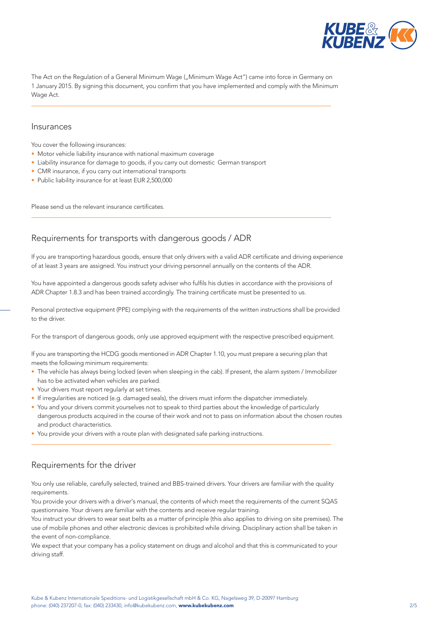

The Act on the Regulation of a General Minimum Wage ("Minimum Wage Act") came into force in Germany on 1 January 2015. By signing this document, you confirm that you have implemented and comply with the Minimum Wage Act.

#### Insurances

You cover the following insurances:

- Motor vehicle liability insurance with national maximum coverage
- Liability insurance for damage to goods, if you carry out domestic German transport
- CMR insurance, if you carry out international transports
- Public liability insurance for at least EUR 2,500,000

Please send us the relevant insurance certificates.

### Requirements for transports with dangerous goods / ADR

If you are transporting hazardous goods, ensure that only drivers with a valid ADR certificate and driving experience of at least 3 years are assigned. You instruct your driving personnel annually on the contents of the ADR.

You have appointed a dangerous goods safety adviser who fulfils his duties in accordance with the provisions of ADR Chapter 1.8.3 and has been trained accordingly. The training certificate must be presented to us.

Personal protective equipment (PPE) complying with the requirements of the written instructions shall be provided to the driver.

For the transport of dangerous goods, only use approved equipment with the respective prescribed equipment.

If you are transporting the HCDG goods mentioned in ADR Chapter 1.10, you must prepare a securing plan that meets the following minimum requirements:

- The vehicle has always being locked (even when sleeping in the cab). If present, the alarm system / Immobilizer has to be activated when vehicles are parked.
- Your drivers must report regularly at set times.
- If irregularities are noticed (e.g. damaged seals), the drivers must inform the dispatcher immediately.
- You and your drivers commit yourselves not to speak to third parties about the knowledge of particularly dangerous products acquired in the course of their work and not to pass on information about the chosen routes and product characteristics.
- You provide your drivers with a route plan with designated safe parking instructions.

### Requirements for the driver

You only use reliable, carefully selected, trained and BBS-trained drivers. Your drivers are familiar with the quality requirements.

You provide your drivers with a driver's manual, the contents of which meet the requirements of the current SQAS questionnaire. Your drivers are familiar with the contents and receive regular training.

You instruct your drivers to wear seat belts as a matter of principle (this also applies to driving on site premises). The use of mobile phones and other electronic devices is prohibited while driving. Disciplinary action shall be taken in the event of non-compliance.

We expect that your company has a policy statement on drugs and alcohol and that this is communicated to your driving staff.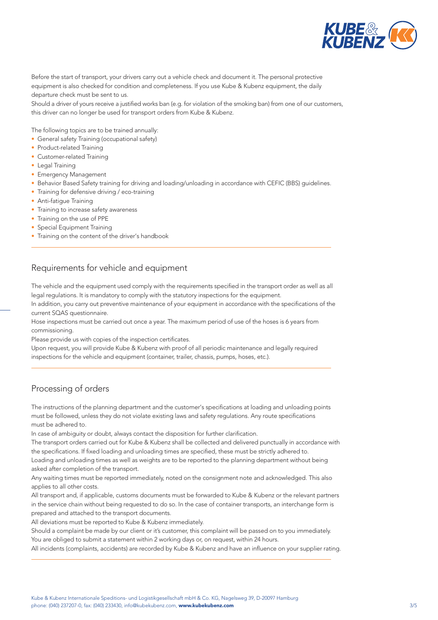

Before the start of transport, your drivers carry out a vehicle check and document it. The personal protective equipment is also checked for condition and completeness. If you use Kube & Kubenz equipment, the daily departure check must be sent to us.

Should a driver of yours receive a justified works ban (e.g. for violation of the smoking ban) from one of our customers, this driver can no longer be used for transport orders from Kube & Kubenz.

The following topics are to be trained annually:

- General safety Training (occupational safety)
- Product-related Training
- Customer-related Training
- Legal Training
- Emergency Management
- Behavior Based Safety training for driving and loading/unloading in accordance with CEFIC (BBS) guidelines.
- Training for defensive driving / eco-training
- Anti-fatigue Training
- Training to increase safety awareness
- Training on the use of PPE
- Special Equipment Training
- Training on the content of the driver's handbook

### Requirements for vehicle and equipment

The vehicle and the equipment used comply with the requirements specified in the transport order as well as all legal regulations. It is mandatory to comply with the statutory inspections for the equipment.

In addition, you carry out preventive maintenance of your equipment in accordance with the specifications of the current SQAS questionnaire.

Hose inspections must be carried out once a year. The maximum period of use of the hoses is 6 years from commissioning.

Please provide us with copies of the inspection certificates.

Upon request, you will provide Kube & Kubenz with proof of all periodic maintenance and legally required inspections for the vehicle and equipment (container, trailer, chassis, pumps, hoses, etc.).

### Processing of orders

The instructions of the planning department and the customer's specifications at loading and unloading points must be followed, unless they do not violate existing laws and safety regulations. Any route specifications must be adhered to.

In case of ambiguity or doubt, always contact the disposition for further clarification.

The transport orders carried out for Kube & Kubenz shall be collected and delivered punctually in accordance with the specifications. If fixed loading and unloading times are specified, these must be strictly adhered to.

Loading and unloading times as well as weights are to be reported to the planning department without being asked after completion of the transport.

Any waiting times must be reported immediately, noted on the consignment note and acknowledged. This also applies to all other costs.

All transport and, if applicable, customs documents must be forwarded to Kube & Kubenz or the relevant partners in the service chain without being requested to do so. In the case of container transports, an interchange form is prepared and attached to the transport documents.

All deviations must be reported to Kube & Kubenz immediately.

Should a complaint be made by our client or it's customer, this complaint will be passed on to you immediately. You are obliged to submit a statement within 2 working days or, on request, within 24 hours.

All incidents (complaints, accidents) are recorded by Kube & Kubenz and have an influence on your supplier rating.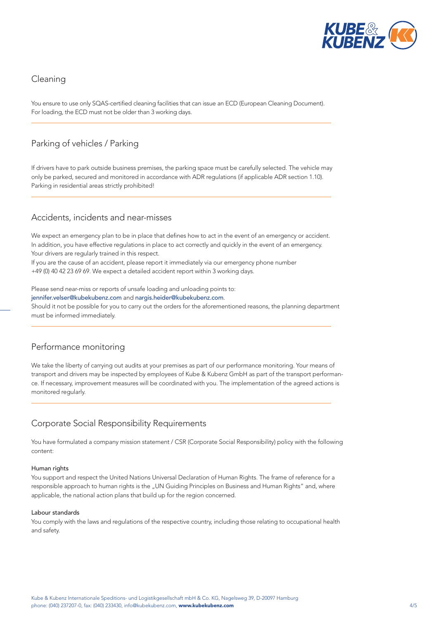

### Cleaning

You ensure to use only SQAS-certified cleaning facilities that can issue an ECD (European Cleaning Document). For loading, the ECD must not be older than 3 working days.

# Parking of vehicles / Parking

If drivers have to park outside business premises, the parking space must be carefully selected. The vehicle may only be parked, secured and monitored in accordance with ADR regulations (if applicable ADR section 1.10). Parking in residential areas strictly prohibited!

### Accidents, incidents and near-misses

We expect an emergency plan to be in place that defines how to act in the event of an emergency or accident. In addition, you have effective regulations in place to act correctly and quickly in the event of an emergency. Your drivers are regularly trained in this respect.

If you are the cause of an accident, please report it immediately via our emergency phone number +49 (0) 40 42 23 69 69. We expect a detailed accident report within 3 working days.

Please send near-miss or reports of unsafe loading and unloading points to:

jennifer.velser@kubekubenz.com and nargis.heider@kubekubenz.com.

Should it not be possible for you to carry out the orders for the aforementioned reasons, the planning department must be informed immediately.

# Performance monitoring

We take the liberty of carrying out audits at your premises as part of our performance monitoring. Your means of transport and drivers may be inspected by employees of Kube & Kubenz GmbH as part of the transport performance. If necessary, improvement measures will be coordinated with you. The implementation of the agreed actions is monitored regularly.

# Corporate Social Responsibility Requirements

You have formulated a company mission statement / CSR (Corporate Social Responsibility) policy with the following content:

#### Human rights

You support and respect the United Nations Universal Declaration of Human Rights. The frame of reference for a responsible approach to human rights is the "UN Guiding Principles on Business and Human Rights" and, where applicable, the national action plans that build up for the region concerned.

#### Labour standards

You comply with the laws and regulations of the respective country, including those relating to occupational health and safety.